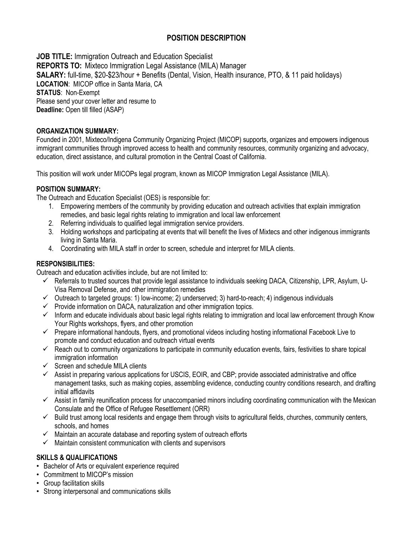# **POSITION DESCRIPTION**

**JOB TITLE:** Immigration Outreach and Education Specialist **REPORTS TO:** Mixteco Immigration Legal Assistance (MILA) Manager **SALARY:** full-time, \$20-\$23/hour + Benefits (Dental, Vision, Health insurance, PTO, & 11 paid holidays) **LOCATION**: MICOP office in Santa Maria, CA **STATUS**: Non-Exempt Please send your cover letter and resume to **Deadline:** Open till filled (ASAP)

### **ORGANIZATION SUMMARY:**

Founded in 2001, Mixteco/Indigena Community Organizing Project (MICOP) supports, organizes and empowers indigenous immigrant communities through improved access to health and community resources, community organizing and advocacy, education, direct assistance, and cultural promotion in the Central Coast of California.

This position will work under MICOPs legal program, known as MICOP Immigration Legal Assistance (MILA).

#### **POSITION SUMMARY:**

The Outreach and Education Specialist (OES) is responsible for:

- 1. Empowering members of the community by providing education and outreach activities that explain immigration remedies, and basic legal rights relating to immigration and local law enforcement
- 2. Referring individuals to qualified legal immigration service providers.
- 3. Holding workshops and participating at events that will benefit the lives of Mixtecs and other indigenous immigrants living in Santa Maria.
- 4. Coordinating with MILA staff in order to screen, schedule and interpret for MILA clients.

### **RESPONSIBILITIES:**

Outreach and education activities include, but are not limited to:

- $\checkmark$  Referrals to trusted sources that provide legal assistance to individuals seeking DACA, Citizenship, LPR, Asylum, U-Visa Removal Defense, and other immigration remedies
- $\checkmark$  Outreach to targeted groups: 1) low-income; 2) underserved; 3) hard-to-reach; 4) indigenous individuals
- $\checkmark$  Provide information on DACA, naturalization and other immigration topics.
- $\checkmark$  Inform and educate individuals about basic legal rights relating to immigration and local law enforcement through Know Your Rights workshops, flyers, and other promotion
- $\checkmark$  Prepare informational handouts, flyers, and promotional videos including hosting informational Facebook Live to promote and conduct education and outreach virtual events
- $\checkmark$  Reach out to community organizations to participate in community education events, fairs, festivities to share topical immigration information
- $\checkmark$  Screen and schedule MILA clients
- $\checkmark$  Assist in preparing various applications for USCIS, EOIR, and CBP; provide associated administrative and office management tasks, such as making copies, assembling evidence, conducting country conditions research, and drafting initial affidavits
- $\checkmark$  Assist in family reunification process for unaccompanied minors including coordinating communication with the Mexican Consulate and the Office of Refugee Resettlement (ORR)
- $\checkmark$  Build trust among local residents and engage them through visits to agricultural fields, churches, community centers, schools, and homes
- $\checkmark$  Maintain an accurate database and reporting system of outreach efforts
- $\checkmark$  Maintain consistent communication with clients and supervisors

## **SKILLS & QUALIFICATIONS**

- Bachelor of Arts or equivalent experience required
- Commitment to MICOP's mission
- Group facilitation skills
- Strong interpersonal and communications skills